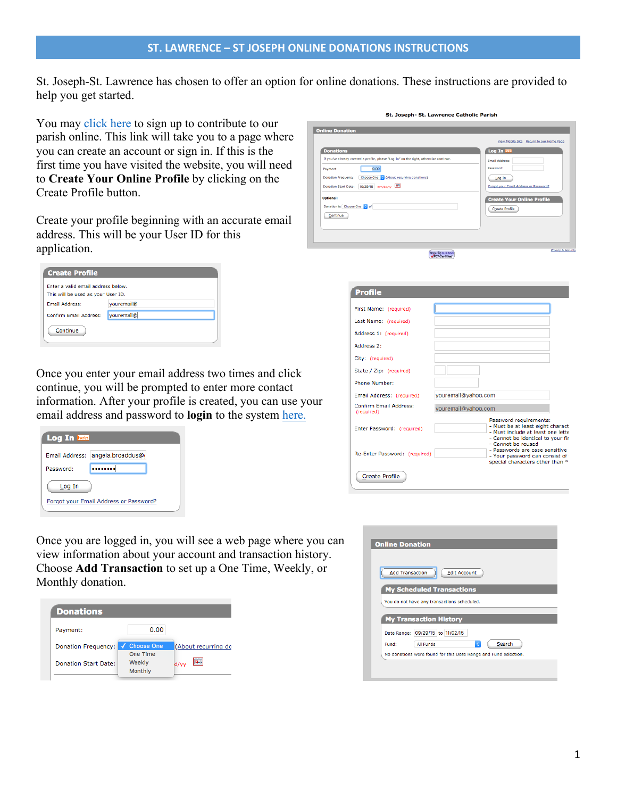St. Joseph-St. Lawrence has chosen to offer an option for online donations. These instructions are provided to help you get started.

You may [click here](https://www.eservicepayments.com/cgi-bin/Vanco_ver3.vps?appver3=U4yfvd_II4rxGXxpLzJtz5kGAfDvNcqwp23PpXpYeytKrfmLHY_PwJEbOGpJFU0p5qVsF5Ho-EkFGHdiiGi5KXdx2rIKtQGwcZVy6lHn3EbaisJFyE7BGSpMptk7o993MTBQZgIFfLu4W9Vc5wqdvyixEjYL0VLpeyWrM2fb2eH_c4y_rASvrfSA4sOVZkARfN6wm-5Nvj03PHYx8XEtfQ==&ver=3) to sign up to contribute to our parish online. This link will take you to a page where you can create an account or sign in. If this is the first time you have visited the website, you will need to **Create Your Online Profile** by clicking on the Create Profile button.

Create your profile beginning with an accurate email address. This will be your User ID for this application.

| <b>Create Profile</b>              |            |  |  |  |
|------------------------------------|------------|--|--|--|
| Enter a valid email address below. |            |  |  |  |
| This will be used as your User ID. |            |  |  |  |
| <b>Email Address:</b>              | youremail@ |  |  |  |
| <b>Confirm Email Address:</b>      | youremail@ |  |  |  |
| Continue                           |            |  |  |  |

Once you enter your email address two times and click continue, you will be prompted to enter more contact information. After your profile is created, you can use your email address and password to **login** to the system [here.](https://www.eservicepayments.com/cgi-bin/Vanco_ver3.vps?appver3=U4yfvd_II4rxGXxpLzJtz5kGAfDvNcqwp23PpXpYeytKrfmLHY_PwJEbOGpJFU0p5qVsF5Ho-EkFGHdiiGi5KXdx2rIKtQGwcZVy6lHn3EbaisJFyE7BGSpMptk7o993MTBQZgIFfLu4W9Vc5wqdvyixEjYL0VLpeyWrM2fb2eH_c4y_rASvrfSA4sOVZkARfN6wm-5Nvj03PHYx8XEtfQ==&ver=3)

| <b>Log In help</b>                     |                  |  |  |  |
|----------------------------------------|------------------|--|--|--|
| Email Address:                         | angela.broaddus@ |  |  |  |
| Password:                              |                  |  |  |  |
| Log In                                 |                  |  |  |  |
| Forgot your Email Address or Password? |                  |  |  |  |

| <b>Donations</b><br>If you've already created a profile, please "Log In" on the right, otherwise continue.<br>0.00<br>Payment:<br>Choose One C (About recurring donations)<br>Donation Frequency:<br>Donation Start Date: 10/29/15 mm/dd/yy<br><b>Optional:</b> | Log In hep<br>Email Address:<br>Password:<br>Log In<br>Forgot your Email Address or Password?<br><b>Create Your Online Profile</b> |
|-----------------------------------------------------------------------------------------------------------------------------------------------------------------------------------------------------------------------------------------------------------------|------------------------------------------------------------------------------------------------------------------------------------|
| Donation is Choose One of<br>Continue<br><b>securityMETRICS</b>                                                                                                                                                                                                 | <b>Create Profile</b><br>Privacy & Securit                                                                                         |

St. Joseph- St. Lawrence Catholic Parish

| <b>Profile</b>                       |                                                                                                                                      |
|--------------------------------------|--------------------------------------------------------------------------------------------------------------------------------------|
| First Name: (required)               |                                                                                                                                      |
| Last Name: (required)                |                                                                                                                                      |
| Address 1: (required)                |                                                                                                                                      |
| Address 2:                           |                                                                                                                                      |
| City: (required)                     |                                                                                                                                      |
| State / Zip: (required)              |                                                                                                                                      |
| Phone Number:                        |                                                                                                                                      |
| Email Address: (required)            | youremail@yahoo.com                                                                                                                  |
| Confirm Email Address:<br>(required) | youremail@yahoo.com                                                                                                                  |
| Enter Password: (required)           | Password requirements:<br>- Must be at least eight charact<br>- Must include at least one lette<br>- Cannot be identical to your fir |
| Re-Enter Password: (required)        | - Cannot be reused<br>- Passwords are case sensitive<br>- Your password can consist of :<br>special characters other than *          |
| <b>Create Profile</b>                |                                                                                                                                      |

Once you are logged in, you will see a web page where you can view information about your account and transaction history. Choose **Add Transaction** to set up a One Time, Weekly, or Monthly donation.

| <b>Donations</b>     |                               |                     |
|----------------------|-------------------------------|---------------------|
| Payment:             | 0.00                          |                     |
| Donation Frequency:  | <b>Choose One</b><br>One Time | (About recurring do |
| Donation Start Date: | Weekly<br>Monthly             | d/vv                |
|                      |                               |                     |

| <b>Add Transaction</b> | <b>Edit Account</b>                         |
|------------------------|---------------------------------------------|
|                        | <b>My Scheduled Transactions</b>            |
|                        | You do not have any transactions scheduled. |
|                        |                                             |
|                        | <b>My Transaction History</b>               |
|                        | Date Range: 09/29/15 to 11/02/15            |
| Fund:                  | $\Diamond$<br>Search<br><b>All Funds</b>    |
|                        |                                             |